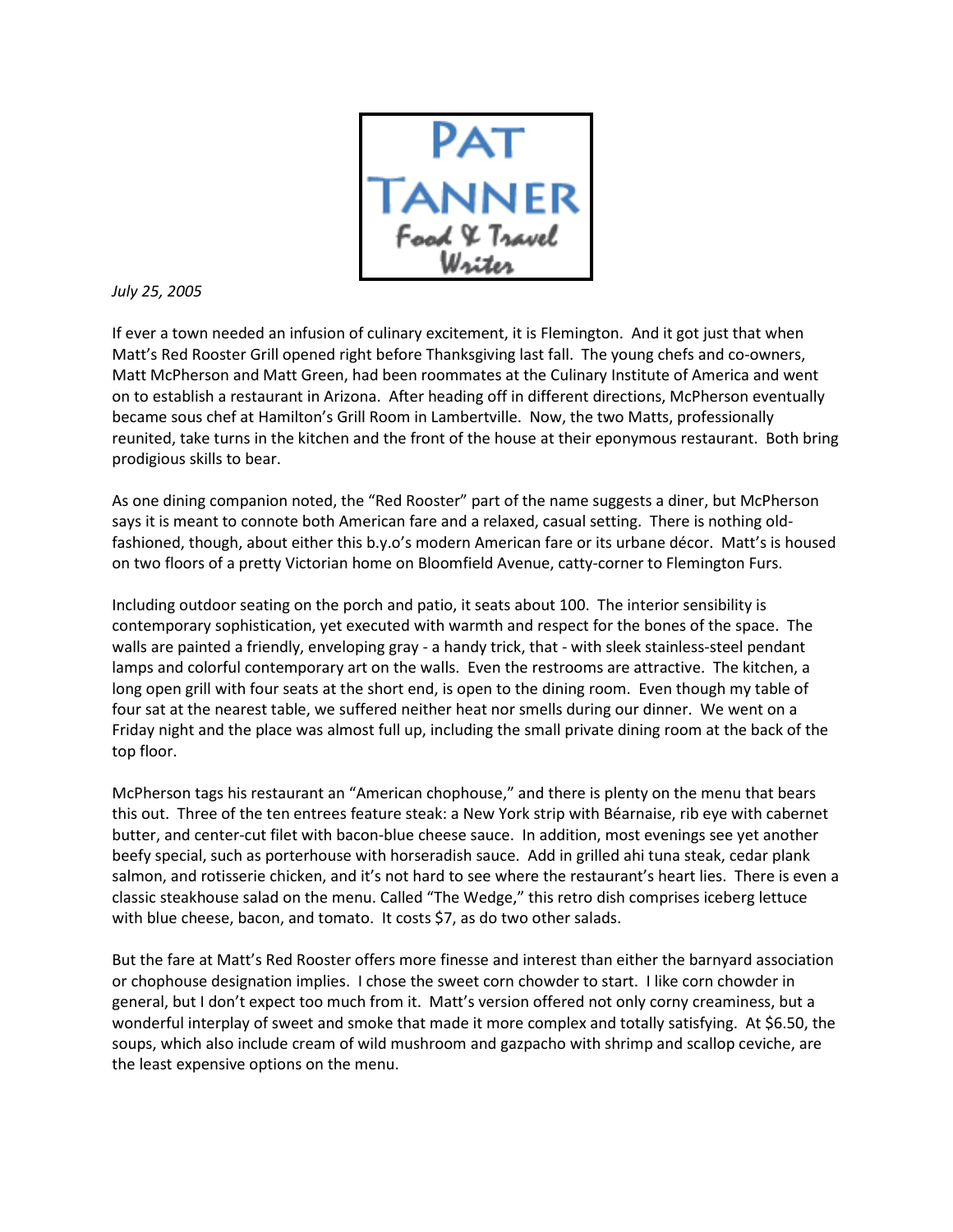

## July 25, 2005

If ever a town needed an infusion of culinary excitement, it is Flemington. And it got just that when Matt's Red Rooster Grill opened right before Thanksgiving last fall. The young chefs and co-owners, Matt McPherson and Matt Green, had been roommates at the Culinary Institute of America and went on to establish a restaurant in Arizona. After heading off in different directions, McPherson eventually became sous chef at Hamilton's Grill Room in Lambertville. Now, the two Matts, professionally reunited, take turns in the kitchen and the front of the house at their eponymous restaurant. Both bring prodigious skills to bear.

As one dining companion noted, the "Red Rooster" part of the name suggests a diner, but McPherson says it is meant to connote both American fare and a relaxed, casual setting. There is nothing oldfashioned, though, about either this b.y.o's modern American fare or its urbane décor. Matt's is housed on two floors of a pretty Victorian home on Bloomfield Avenue, catty-corner to Flemington Furs.

Including outdoor seating on the porch and patio, it seats about 100. The interior sensibility is contemporary sophistication, yet executed with warmth and respect for the bones of the space. The walls are painted a friendly, enveloping gray - a handy trick, that - with sleek stainless-steel pendant lamps and colorful contemporary art on the walls. Even the restrooms are attractive. The kitchen, a long open grill with four seats at the short end, is open to the dining room. Even though my table of four sat at the nearest table, we suffered neither heat nor smells during our dinner. We went on a Friday night and the place was almost full up, including the small private dining room at the back of the top floor.

McPherson tags his restaurant an "American chophouse," and there is plenty on the menu that bears this out. Three of the ten entrees feature steak: a New York strip with Béarnaise, rib eye with cabernet butter, and center-cut filet with bacon-blue cheese sauce. In addition, most evenings see yet another beefy special, such as porterhouse with horseradish sauce. Add in grilled ahi tuna steak, cedar plank salmon, and rotisserie chicken, and it's not hard to see where the restaurant's heart lies. There is even a classic steakhouse salad on the menu. Called "The Wedge," this retro dish comprises iceberg lettuce with blue cheese, bacon, and tomato. It costs \$7, as do two other salads.

But the fare at Matt's Red Rooster offers more finesse and interest than either the barnyard association or chophouse designation implies. I chose the sweet corn chowder to start. I like corn chowder in general, but I don't expect too much from it. Matt's version offered not only corny creaminess, but a wonderful interplay of sweet and smoke that made it more complex and totally satisfying. At \$6.50, the soups, which also include cream of wild mushroom and gazpacho with shrimp and scallop ceviche, are the least expensive options on the menu.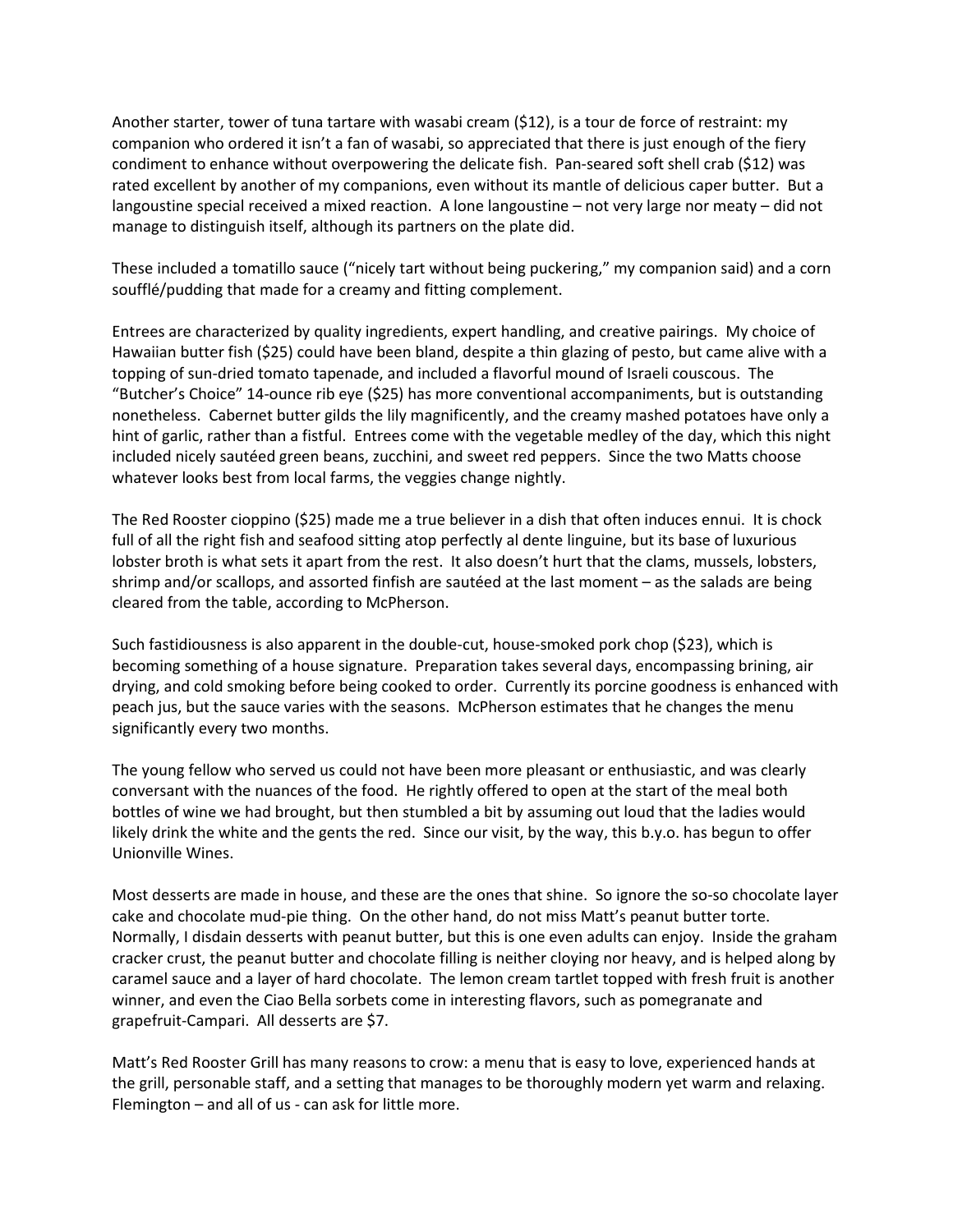Another starter, tower of tuna tartare with wasabi cream (\$12), is a tour de force of restraint: my companion who ordered it isn't a fan of wasabi, so appreciated that there is just enough of the fiery condiment to enhance without overpowering the delicate fish. Pan-seared soft shell crab (\$12) was rated excellent by another of my companions, even without its mantle of delicious caper butter. But a langoustine special received a mixed reaction. A lone langoustine – not very large nor meaty – did not manage to distinguish itself, although its partners on the plate did.

These included a tomatillo sauce ("nicely tart without being puckering," my companion said) and a corn soufflé/pudding that made for a creamy and fitting complement.

Entrees are characterized by quality ingredients, expert handling, and creative pairings. My choice of Hawaiian butter fish (\$25) could have been bland, despite a thin glazing of pesto, but came alive with a topping of sun-dried tomato tapenade, and included a flavorful mound of Israeli couscous. The "Butcher's Choice" 14-ounce rib eye (\$25) has more conventional accompaniments, but is outstanding nonetheless. Cabernet butter gilds the lily magnificently, and the creamy mashed potatoes have only a hint of garlic, rather than a fistful. Entrees come with the vegetable medley of the day, which this night included nicely sautéed green beans, zucchini, and sweet red peppers. Since the two Matts choose whatever looks best from local farms, the veggies change nightly.

The Red Rooster cioppino (\$25) made me a true believer in a dish that often induces ennui. It is chock full of all the right fish and seafood sitting atop perfectly al dente linguine, but its base of luxurious lobster broth is what sets it apart from the rest. It also doesn't hurt that the clams, mussels, lobsters, shrimp and/or scallops, and assorted finfish are sautéed at the last moment – as the salads are being cleared from the table, according to McPherson.

Such fastidiousness is also apparent in the double-cut, house-smoked pork chop (\$23), which is becoming something of a house signature. Preparation takes several days, encompassing brining, air drying, and cold smoking before being cooked to order. Currently its porcine goodness is enhanced with peach jus, but the sauce varies with the seasons. McPherson estimates that he changes the menu significantly every two months.

The young fellow who served us could not have been more pleasant or enthusiastic, and was clearly conversant with the nuances of the food. He rightly offered to open at the start of the meal both bottles of wine we had brought, but then stumbled a bit by assuming out loud that the ladies would likely drink the white and the gents the red. Since our visit, by the way, this b.y.o. has begun to offer Unionville Wines.

Most desserts are made in house, and these are the ones that shine. So ignore the so-so chocolate layer cake and chocolate mud-pie thing. On the other hand, do not miss Matt's peanut butter torte. Normally, I disdain desserts with peanut butter, but this is one even adults can enjoy. Inside the graham cracker crust, the peanut butter and chocolate filling is neither cloying nor heavy, and is helped along by caramel sauce and a layer of hard chocolate. The lemon cream tartlet topped with fresh fruit is another winner, and even the Ciao Bella sorbets come in interesting flavors, such as pomegranate and grapefruit-Campari. All desserts are \$7.

Matt's Red Rooster Grill has many reasons to crow: a menu that is easy to love, experienced hands at the grill, personable staff, and a setting that manages to be thoroughly modern yet warm and relaxing. Flemington – and all of us - can ask for little more.